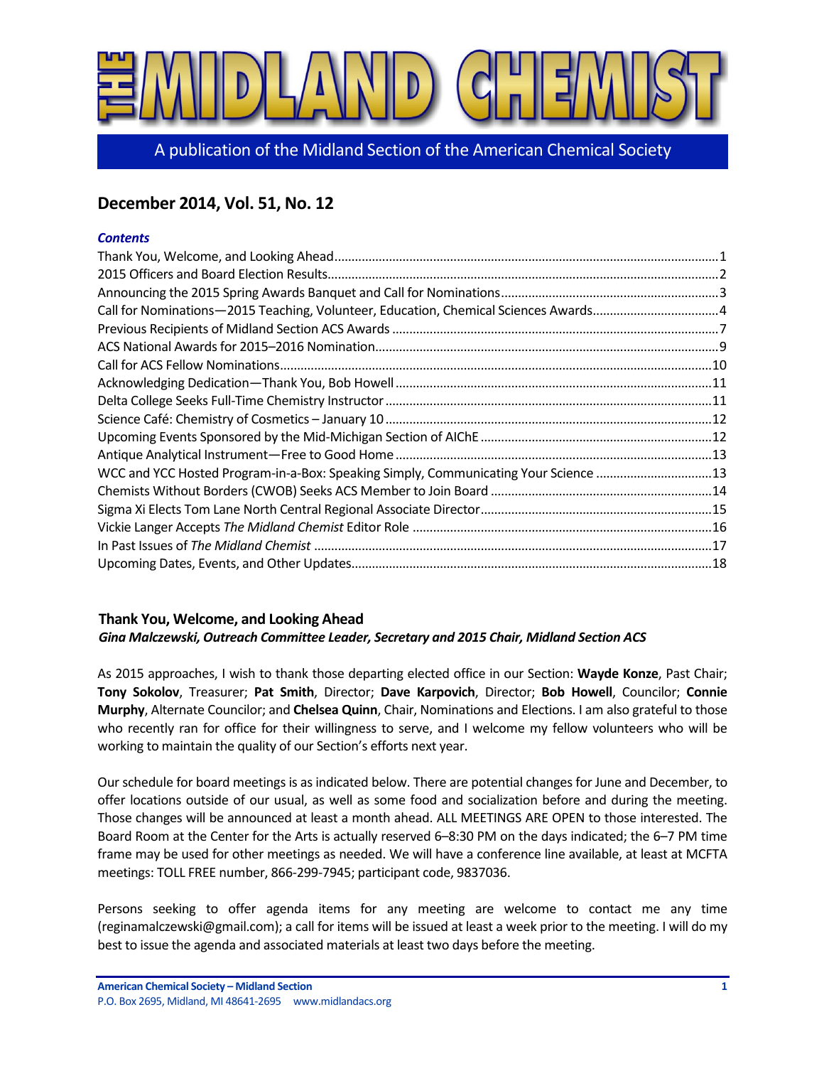

A publication of the Midland Section of the American Chemical Society

# **December 2014, Vol. 51, No. 12**

## *Contents*

| Call for Nominations-2015 Teaching, Volunteer, Education, Chemical Sciences Awards4 |  |
|-------------------------------------------------------------------------------------|--|
|                                                                                     |  |
|                                                                                     |  |
|                                                                                     |  |
|                                                                                     |  |
|                                                                                     |  |
|                                                                                     |  |
|                                                                                     |  |
|                                                                                     |  |
| WCC and YCC Hosted Program-in-a-Box: Speaking Simply, Communicating Your Science 13 |  |
|                                                                                     |  |
|                                                                                     |  |
|                                                                                     |  |
|                                                                                     |  |
|                                                                                     |  |

# **Thank You, Welcome, and Looking Ahead**

# *Gina Malczewski, Outreach Committee Leader, Secretary and 2015 Chair, Midland Section ACS*

As 2015 approaches, I wish to thank those departing elected office in our Section: Wayde Konze, Past Chair; **Tony Sokolov**, Treasurer; **Pat Smith**, Director; **Dave Karpovich**, Director; **Bob Howell**, Councilor; **Connie Murphy**, Alternate Councilor; and *Chelsea Quinn*, Chair, Nominations and Elections. I am also grateful to those who recently ran for office for their willingness to serve, and I welcome my fellow volunteers who will be working to maintain the quality of our Section's efforts next year.

Our schedule for board meetings is as indicated below. There are potential changes for June and December, to offer locations outside of our usual, as well as some food and socialization before and during the meeting. Those changes will be announced at least a month ahead. ALL MEETINGS ARE OPEN to those interested. The Board Room at the Center for the Arts is actually reserved 6-8:30 PM on the days indicated; the 6-7 PM time frame may be used for other meetings as needed. We will have a conference line available, at least at MCFTA meetings: TOLL FREE number, 866-299-7945; participant code, 9837036.

Persons seeking to offer agenda items for any meeting are welcome to contact me any time (reginamalczewski@gmail.com); a call for items will be issued at least a week prior to the meeting. I will do my best to issue the agenda and associated materials at least two days before the meeting.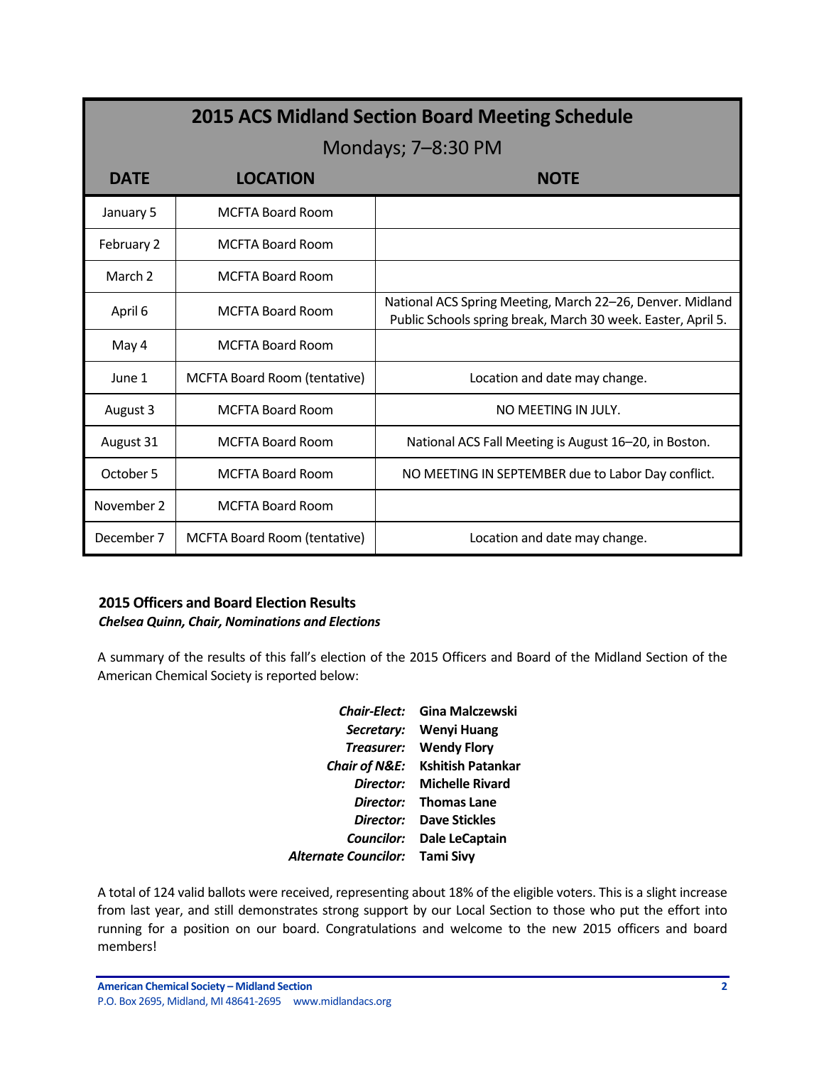| <b>2015 ACS Midland Section Board Meeting Schedule</b> |                              |                                                                                                                           |  |  |  |
|--------------------------------------------------------|------------------------------|---------------------------------------------------------------------------------------------------------------------------|--|--|--|
|                                                        |                              | Mondays; 7–8:30 PM                                                                                                        |  |  |  |
| <b>DATE</b>                                            | <b>LOCATION</b>              | <b>NOTE</b>                                                                                                               |  |  |  |
| January 5                                              | <b>MCFTA Board Room</b>      |                                                                                                                           |  |  |  |
| February 2                                             | <b>MCFTA Board Room</b>      |                                                                                                                           |  |  |  |
| March 2                                                | <b>MCFTA Board Room</b>      |                                                                                                                           |  |  |  |
| April 6                                                | <b>MCFTA Board Room</b>      | National ACS Spring Meeting, March 22-26, Denver. Midland<br>Public Schools spring break, March 30 week. Easter, April 5. |  |  |  |
| May 4                                                  | <b>MCFTA Board Room</b>      |                                                                                                                           |  |  |  |
| June 1                                                 | MCFTA Board Room (tentative) | Location and date may change.                                                                                             |  |  |  |
| August 3                                               | MCFTA Board Room             | NO MEETING IN JULY.                                                                                                       |  |  |  |
| August 31                                              | <b>MCFTA Board Room</b>      | National ACS Fall Meeting is August 16-20, in Boston.                                                                     |  |  |  |
| October 5                                              | <b>MCFTA Board Room</b>      | NO MEETING IN SEPTEMBER due to Labor Day conflict.                                                                        |  |  |  |
| November 2                                             | <b>MCFTA Board Room</b>      |                                                                                                                           |  |  |  |
| December 7                                             | MCFTA Board Room (tentative) | Location and date may change.                                                                                             |  |  |  |

# **2015 Officers and Board Election Results**

## *Chelsea Quinn, Chair, Nominations and Elections*

A summary of the results of this fall's election of the 2015 Officers and Board of the Midland Section of the American Chemical Society is reported below:

| <b>Chair-Elect:</b>      | Gina Malczewski          |
|--------------------------|--------------------------|
| Secretary:               | Wenyi Huang              |
| Treasurer:               | <b>Wendy Flory</b>       |
| <b>Chair of N&amp;E:</b> | <b>Kshitish Patankar</b> |
| Director:                | <b>Michelle Rivard</b>   |
| Director:                | <b>Thomas Lane</b>       |
| Director:                | <b>Dave Stickles</b>     |
| Councilor:               | <b>Dale LeCaptain</b>    |
| Alternate Councilor:     | <b>Tami Sivy</b>         |

A total of 124 valid ballots were received, representing about 18% of the eligible voters. This is a slight increase from last year, and still demonstrates strong support by our Local Section to those who put the effort into running for a position on our board. Congratulations and welcome to the new 2015 officers and board members!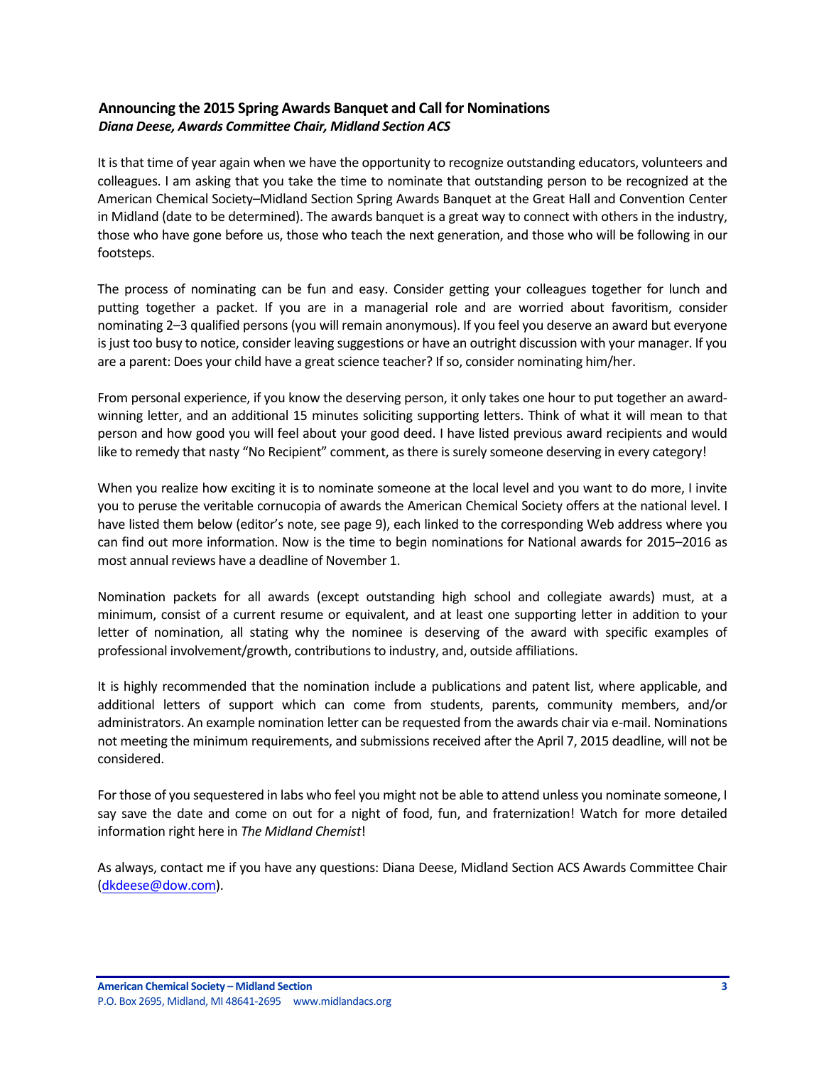# **Announcing the 2015 Spring Awards Banquet and Call for Nominations** *Diana Deese, Awards Committee Chair, Midland Section ACS*

It is that time of year again when we have the opportunity to recognize outstanding educators, volunteers and colleagues. I am asking that you take the time to nominate that outstanding person to be recognized at the American Chemical Society-Midland Section Spring Awards Banquet at the Great Hall and Convention Center in Midland (date to be determined). The awards banquet is a great way to connect with others in the industry, those who have gone before us, those who teach the next generation, and those who will be following in our footsteps.

The process of nominating can be fun and easy. Consider getting your colleagues together for lunch and putting together a packet. If you are in a managerial role and are worried about favoritism, consider nominating 2-3 qualified persons (you will remain anonymous). If you feel you deserve an award but everyone is just too busy to notice, consider leaving suggestions or have an outright discussion with your manager. If you are a parent: Does your child have a great science teacher? If so, consider nominating him/her.

From personal experience, if you know the deserving person, it only takes one hour to put together an awardwinning letter, and an additional 15 minutes soliciting supporting letters. Think of what it will mean to that person and how good you will feel about your good deed. I have listed previous award recipients and would like to remedy that nasty "No Recipient" comment, as there is surely someone deserving in every category!

When you realize how exciting it is to nominate someone at the local level and you want to do more, I invite you to peruse the veritable cornucopia of awards the American Chemical Society offers at the national level. I have listed them below (editor's note, see page 9), each linked to the corresponding Web address where you can find out more information. Now is the time to begin nominations for National awards for 2015–2016 as most annual reviews have a deadline of November 1.

Nomination packets for all awards (except outstanding high school and collegiate awards) must, at a minimum, consist of a current resume or equivalent, and at least one supporting letter in addition to your letter of nomination, all stating why the nominee is deserving of the award with specific examples of professional involvement/growth, contributions to industry, and, outside affiliations.

It is highly recommended that the nomination include a publications and patent list, where applicable, and additional letters of support which can come from students, parents, community members, and/or administrators. An example nomination letter can be requested from the awards chair via e-mail. Nominations not meeting the minimum requirements, and submissions received after the April 7, 2015 deadline, will not be considered.

For those of you sequestered in labs who feel you might not be able to attend unless you nominate someone, I say save the date and come on out for a night of food, fun, and fraternization! Watch for more detailed information right here in *The Midland Chemist!* 

As always, contact me if you have any questions: Diana Deese, Midland Section ACS Awards Committee Chair (dkdeese@dow.com).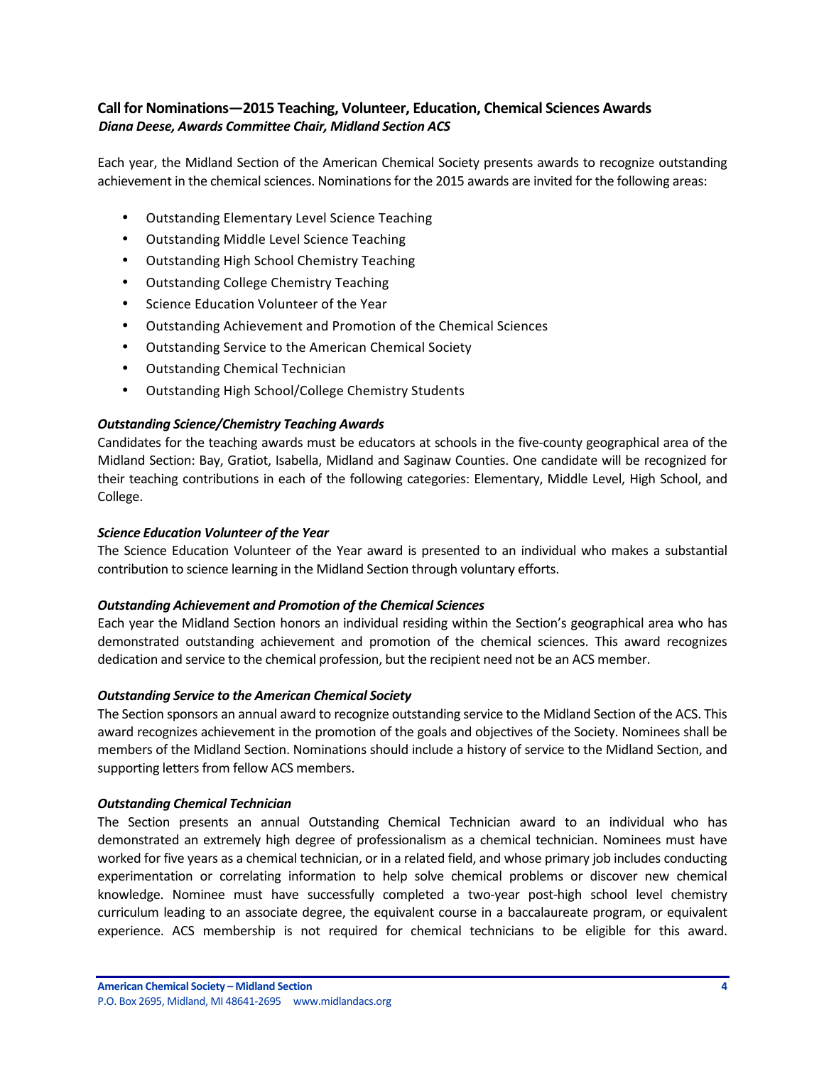# **Call for Nominations-2015 Teaching, Volunteer, Education, Chemical Sciences Awards** *Diana Deese, Awards Committee Chair, Midland Section ACS*

Each year, the Midland Section of the American Chemical Society presents awards to recognize outstanding achievement in the chemical sciences. Nominations for the 2015 awards are invited for the following areas:

- Outstanding Elementary Level Science Teaching
- Outstanding Middle Level Science Teaching
- Outstanding High School Chemistry Teaching
- Outstanding College Chemistry Teaching
- Science Education Volunteer of the Year
- Outstanding Achievement and Promotion of the Chemical Sciences
- Outstanding Service to the American Chemical Society
- Outstanding Chemical Technician
- Outstanding High School/College Chemistry Students

## *Outstanding Science/Chemistry Teaching Awards*

Candidates for the teaching awards must be educators at schools in the five-county geographical area of the Midland Section: Bay, Gratiot, Isabella, Midland and Saginaw Counties. One candidate will be recognized for their teaching contributions in each of the following categories: Elementary, Middle Level, High School, and College.

### *Science Education Volunteer of the Year*

The Science Education Volunteer of the Year award is presented to an individual who makes a substantial contribution to science learning in the Midland Section through voluntary efforts.

#### **Outstanding Achievement and Promotion of the Chemical Sciences**

Each year the Midland Section honors an individual residing within the Section's geographical area who has demonstrated outstanding achievement and promotion of the chemical sciences. This award recognizes dedication and service to the chemical profession, but the recipient need not be an ACS member.

## *Outstanding Service to the American Chemical Society*

The Section sponsors an annual award to recognize outstanding service to the Midland Section of the ACS. This award recognizes achievement in the promotion of the goals and objectives of the Society. Nominees shall be members of the Midland Section. Nominations should include a history of service to the Midland Section, and supporting letters from fellow ACS members.

#### *Outstanding Chemical Technician*

The Section presents an annual Outstanding Chemical Technician award to an individual who has demonstrated an extremely high degree of professionalism as a chemical technician. Nominees must have worked for five years as a chemical technician, or in a related field, and whose primary job includes conducting experimentation or correlating information to help solve chemical problems or discover new chemical knowledge. Nominee must have successfully completed a two-year post-high school level chemistry curriculum leading to an associate degree, the equivalent course in a baccalaureate program, or equivalent experience. ACS membership is not required for chemical technicians to be eligible for this award.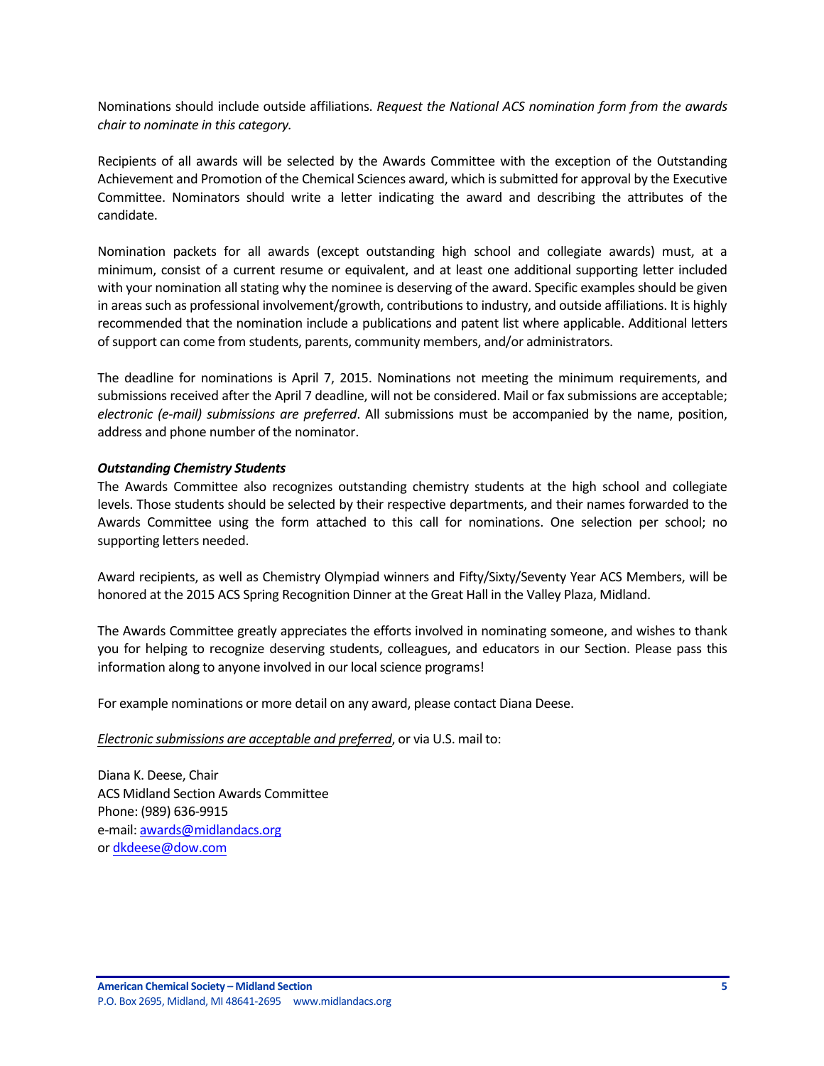Nominations should include outside affiliations. *Request the National ACS nomination form from the awards chair to nominate in this category.* 

Recipients of all awards will be selected by the Awards Committee with the exception of the Outstanding Achievement and Promotion of the Chemical Sciences award, which is submitted for approval by the Executive Committee. Nominators should write a letter indicating the award and describing the attributes of the candidate.

Nomination packets for all awards (except outstanding high school and collegiate awards) must, at a minimum, consist of a current resume or equivalent, and at least one additional supporting letter included with your nomination all stating why the nominee is deserving of the award. Specific examples should be given in areas such as professional involvement/growth, contributions to industry, and outside affiliations. It is highly recommended that the nomination include a publications and patent list where applicable. Additional letters of support can come from students, parents, community members, and/or administrators.

The deadline for nominations is April 7, 2015. Nominations not meeting the minimum requirements, and submissions received after the April 7 deadline, will not be considered. Mail or fax submissions are acceptable; *electronic (e-mail)* submissions are preferred. All submissions must be accompanied by the name, position, address and phone number of the nominator.

#### *Outstanding Chemistry Students*

The Awards Committee also recognizes outstanding chemistry students at the high school and collegiate levels. Those students should be selected by their respective departments, and their names forwarded to the Awards Committee using the form attached to this call for nominations. One selection per school; no supporting letters needed.

Award recipients, as well as Chemistry Olympiad winners and Fifty/Sixty/Seventy Year ACS Members, will be honored at the 2015 ACS Spring Recognition Dinner at the Great Hall in the Valley Plaza, Midland.

The Awards Committee greatly appreciates the efforts involved in nominating someone, and wishes to thank you for helping to recognize deserving students, colleagues, and educators in our Section. Please pass this information along to anyone involved in our local science programs!

For example nominations or more detail on any award, please contact Diana Deese.

#### *Electronic submissions are acceptable and preferred*, or via U.S. mail to:

Diana K. Deese, Chair ACS Midland Section Awards Committee Phone: (989) 636-9915 e-mail: awards@midlandacs.org or dkdeese@dow.com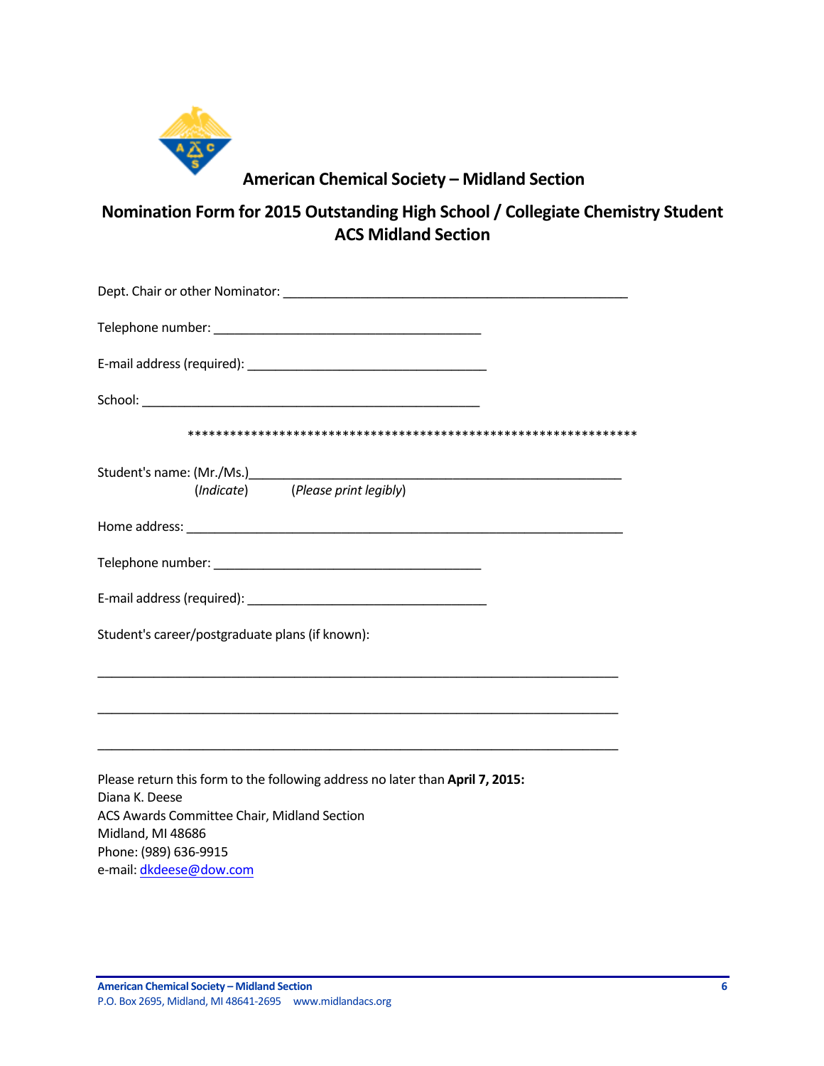

# **American Chemical Society – Midland Section**

Nomination Form for 2015 Outstanding High School / Collegiate Chemistry Student **ACS Midland Section**

| School: Experience of the state of the state of the state of the state of the state of the state of the state of the state of the state of the state of the state of the state of the state of the state of the state of the s |
|--------------------------------------------------------------------------------------------------------------------------------------------------------------------------------------------------------------------------------|
|                                                                                                                                                                                                                                |
| (Indicate) (Please print legibly)                                                                                                                                                                                              |
|                                                                                                                                                                                                                                |
|                                                                                                                                                                                                                                |
|                                                                                                                                                                                                                                |
| Student's career/postgraduate plans (if known):                                                                                                                                                                                |
| <u> 1989 - Johann Stoff, amerikansk politiker (* 1908)</u>                                                                                                                                                                     |
| Please return this form to the following address no later than April 7, 2015:                                                                                                                                                  |
| Diana K. Deese                                                                                                                                                                                                                 |
| ACS Awards Committee Chair, Midland Section                                                                                                                                                                                    |
| Midland, MI 48686                                                                                                                                                                                                              |
| Phone: (989) 636-9915                                                                                                                                                                                                          |
| e-mail: dkdeese@dow.com                                                                                                                                                                                                        |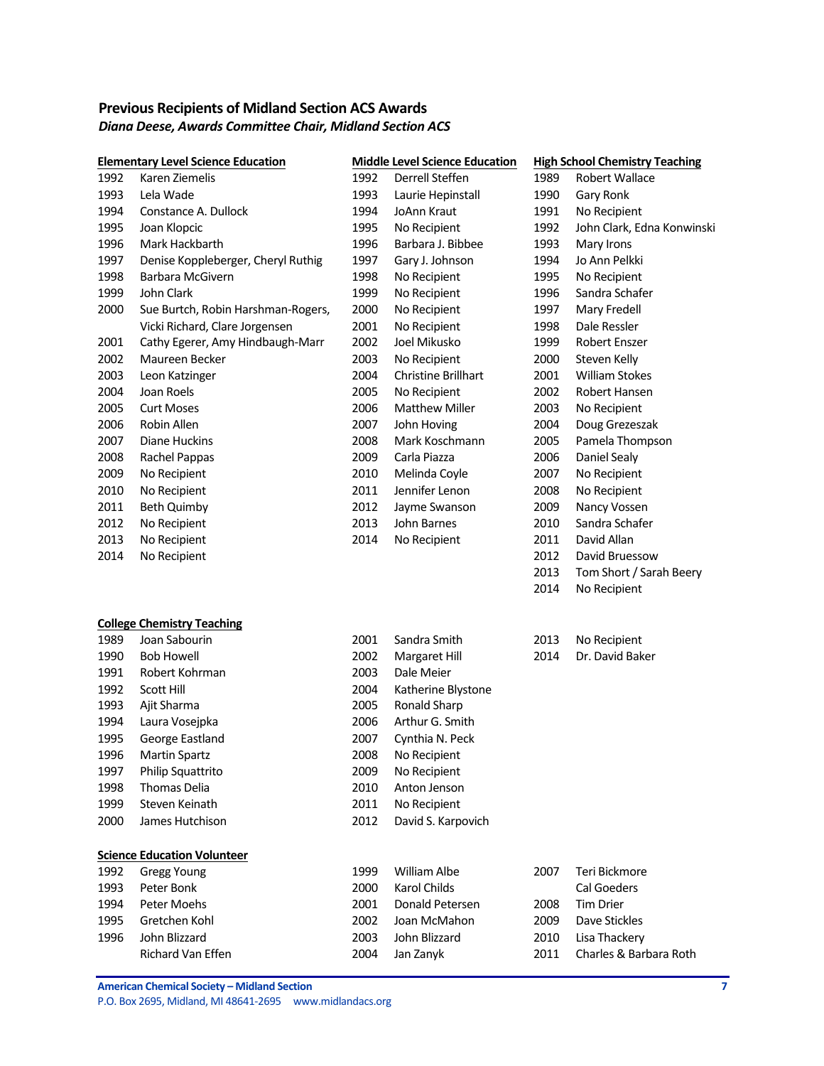# **Previous Recipients of Midland Section ACS Awards** *Diana Deese, Awards Committee Chair, Midland Section ACS*

|      | <b>Elementary Level Science Education</b> |      | <b>Middle Level Science Education</b> |      | <b>High School Chemistry Teaching</b> |
|------|-------------------------------------------|------|---------------------------------------|------|---------------------------------------|
| 1992 | Karen Ziemelis                            | 1992 | Derrell Steffen                       | 1989 | Robert Wallace                        |
| 1993 | Lela Wade                                 | 1993 | Laurie Hepinstall                     | 1990 | Gary Ronk                             |
| 1994 | Constance A. Dullock                      | 1994 | JoAnn Kraut                           | 1991 | No Recipient                          |
| 1995 | Joan Klopcic                              | 1995 | No Recipient                          | 1992 | John Clark, Edna Konwinski            |
| 1996 | Mark Hackbarth                            | 1996 | Barbara J. Bibbee                     | 1993 | Mary Irons                            |
| 1997 | Denise Koppleberger, Cheryl Ruthig        | 1997 | Gary J. Johnson                       | 1994 | Jo Ann Pelkki                         |
| 1998 | Barbara McGivern                          | 1998 | No Recipient                          | 1995 | No Recipient                          |
| 1999 | John Clark                                | 1999 | No Recipient                          | 1996 | Sandra Schafer                        |
| 2000 | Sue Burtch, Robin Harshman-Rogers,        | 2000 | No Recipient                          | 1997 | Mary Fredell                          |
|      | Vicki Richard, Clare Jorgensen            | 2001 | No Recipient                          | 1998 | Dale Ressler                          |
| 2001 | Cathy Egerer, Amy Hindbaugh-Marr          | 2002 | Joel Mikusko                          | 1999 | Robert Enszer                         |
| 2002 | Maureen Becker                            | 2003 | No Recipient                          | 2000 | Steven Kelly                          |
| 2003 | Leon Katzinger                            | 2004 | <b>Christine Brillhart</b>            | 2001 | <b>William Stokes</b>                 |
| 2004 | Joan Roels                                | 2005 | No Recipient                          | 2002 | Robert Hansen                         |
| 2005 | <b>Curt Moses</b>                         | 2006 | <b>Matthew Miller</b>                 | 2003 | No Recipient                          |
| 2006 | Robin Allen                               | 2007 | John Hoving                           | 2004 | Doug Grezeszak                        |
| 2007 | Diane Huckins                             | 2008 | Mark Koschmann                        | 2005 | Pamela Thompson                       |
| 2008 | Rachel Pappas                             | 2009 | Carla Piazza                          | 2006 | Daniel Sealy                          |
| 2009 | No Recipient                              | 2010 | Melinda Coyle                         | 2007 | No Recipient                          |
| 2010 | No Recipient                              | 2011 | Jennifer Lenon                        | 2008 | No Recipient                          |
| 2011 | <b>Beth Quimby</b>                        | 2012 | Jayme Swanson                         | 2009 | Nancy Vossen                          |
| 2012 | No Recipient                              | 2013 | John Barnes                           | 2010 | Sandra Schafer                        |
| 2013 | No Recipient                              | 2014 | No Recipient                          | 2011 | David Allan                           |
| 2014 | No Recipient                              |      |                                       | 2012 | David Bruessow                        |
|      |                                           |      |                                       | 2013 | Tom Short / Sarah Beery               |
|      |                                           |      |                                       | 2014 | No Recipient                          |
|      | <b>College Chemistry Teaching</b>         |      |                                       |      |                                       |
| 1989 | Joan Sabourin                             | 2001 | Sandra Smith                          | 2013 | No Recipient                          |
| 1990 | <b>Bob Howell</b>                         | 2002 | Margaret Hill                         | 2014 | Dr. David Baker                       |
| 1991 | Robert Kohrman                            | 2003 | Dale Meier                            |      |                                       |
| 1992 | <b>Scott Hill</b>                         | 2004 | Katherine Blystone                    |      |                                       |
| 1993 | Ajit Sharma                               | 2005 | <b>Ronald Sharp</b>                   |      |                                       |
| 1994 | Laura Vosejpka                            | 2006 | Arthur G. Smith                       |      |                                       |
| 1995 | George Eastland                           | 2007 | Cynthia N. Peck                       |      |                                       |
| 1996 | <b>Martin Spartz</b>                      | 2008 | No Recipient                          |      |                                       |
| 1997 | Philip Squattrito                         | 2009 | No Recipient                          |      |                                       |
| 1998 | Thomas Delia                              | 2010 | Anton Jenson                          |      |                                       |
| 1999 | Steven Keinath                            | 2011 | No Recipient                          |      |                                       |
| 2000 | James Hutchison                           | 2012 | David S. Karpovich                    |      |                                       |
|      | <b>Science Education Volunteer</b>        |      |                                       |      |                                       |
| 1992 | <b>Gregg Young</b>                        | 1999 | William Albe                          | 2007 | Teri Bickmore                         |
| 1993 | Peter Bonk                                | 2000 | Karol Childs                          |      | <b>Cal Goeders</b>                    |
| 1994 | Peter Moehs                               | 2001 | Donald Petersen                       | 2008 | <b>Tim Drier</b>                      |
| 1995 | Gretchen Kohl                             | 2002 | Joan McMahon                          | 2009 | Dave Stickles                         |
| 1996 | John Blizzard                             | 2003 | John Blizzard                         | 2010 | Lisa Thackery                         |
|      | Richard Van Effen                         | 2004 | Jan Zanyk                             | 2011 | Charles & Barbara Roth                |
|      |                                           |      |                                       |      |                                       |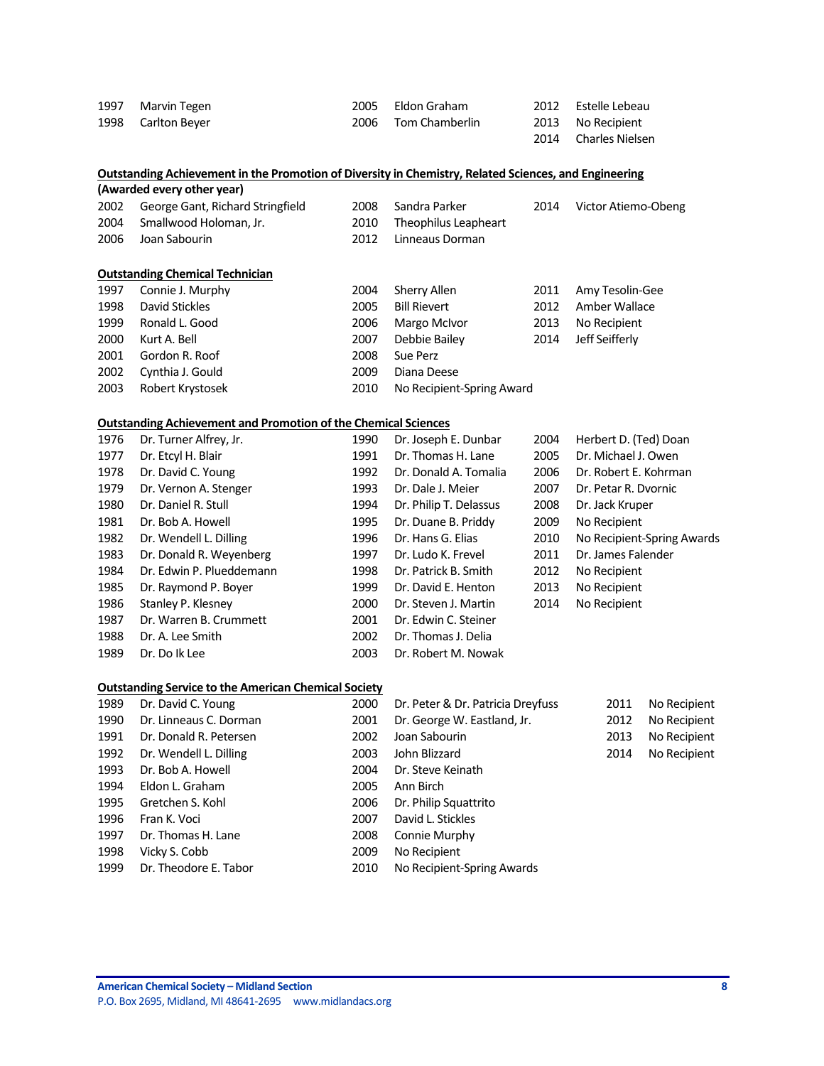| 1997 | Marvin Tegen       | 2005 Eldon Graham   | 2012 Estelle Lebeau  |
|------|--------------------|---------------------|----------------------|
|      | 1998 Carlton Beyer | 2006 Tom Chamberlin | 2013 No Recipient    |
|      |                    |                     | 2014 Charles Nielsen |

| Outstanding Achievement in the Promotion of Diversity in Chemistry, Related Sciences, and Engineering |  |  |
|-------------------------------------------------------------------------------------------------------|--|--|
| $\{A_1, \ldots, A_n\}$                                                                                |  |  |

| (Awarded every other year) |                                       |       |                           |      |                     |  |  |
|----------------------------|---------------------------------------|-------|---------------------------|------|---------------------|--|--|
|                            | 2002 George Gant, Richard Stringfield | 2008  | Sandra Parker             | 2014 | Victor Atiemo-Obeng |  |  |
|                            | 2004 Smallwood Holoman, Jr.           |       | 2010 Theophilus Leapheart |      |                     |  |  |
| 2006                       | Joan Sabourin                         | 2012. | Linneaus Dorman           |      |                     |  |  |
|                            |                                       |       |                           |      |                     |  |  |

#### **Outstanding Chemical Technician**

| 1997 | Connie J. Murphy | 2004 | Sherry Allen              | 2011 | Amy Tesolin-Gee |
|------|------------------|------|---------------------------|------|-----------------|
| 1998 | David Stickles   | 2005 | <b>Bill Rievert</b>       | 2012 | Amber Wallace   |
| 1999 | Ronald L. Good   | 2006 | Margo McIvor              | 2013 | No Recipient    |
| 2000 | Kurt A. Bell     | 2007 | Debbie Bailey             | 2014 | Jeff Seifferly  |
| 2001 | Gordon R. Roof   | 2008 | Sue Perz                  |      |                 |
| 2002 | Cynthia J. Gould | 2009 | Diana Deese               |      |                 |
| 2003 | Robert Krystosek | 2010 | No Recipient-Spring Award |      |                 |

## **Outstanding Achievement and Promotion of the Chemical Sciences**

| 1976 | Dr. Turner Alfrey, Jr.   | 1990 | Dr. Joseph E. Dunbar   | 2004 | Herbert D. (Ted) Doan      |
|------|--------------------------|------|------------------------|------|----------------------------|
| 1977 | Dr. Etcyl H. Blair       | 1991 | Dr. Thomas H. Lane     | 2005 | Dr. Michael J. Owen        |
| 1978 | Dr. David C. Young       | 1992 | Dr. Donald A. Tomalia  | 2006 | Dr. Robert E. Kohrman      |
| 1979 | Dr. Vernon A. Stenger    | 1993 | Dr. Dale J. Meier      | 2007 | Dr. Petar R. Dvornic       |
| 1980 | Dr. Daniel R. Stull      | 1994 | Dr. Philip T. Delassus | 2008 | Dr. Jack Kruper            |
| 1981 | Dr. Bob A. Howell        | 1995 | Dr. Duane B. Priddy    | 2009 | No Recipient               |
| 1982 | Dr. Wendell L. Dilling   | 1996 | Dr. Hans G. Elias      | 2010 | No Recipient-Spring Awards |
| 1983 | Dr. Donald R. Weyenberg  | 1997 | Dr. Ludo K. Frevel     | 2011 | Dr. James Falender         |
| 1984 | Dr. Edwin P. Plueddemann | 1998 | Dr. Patrick B. Smith   | 2012 | No Recipient               |
| 1985 | Dr. Raymond P. Boyer     | 1999 | Dr. David E. Henton    | 2013 | No Recipient               |
| 1986 | Stanley P. Klesney       | 2000 | Dr. Steven J. Martin   | 2014 | No Recipient               |
| 1987 | Dr. Warren B. Crummett   | 2001 | Dr. Edwin C. Steiner   |      |                            |
| 1988 | Dr. A. Lee Smith         | 2002 | Dr. Thomas J. Delia    |      |                            |
| 1989 | Dr. Do lk Lee            | 2003 | Dr. Robert M. Nowak    |      |                            |
|      |                          |      |                        |      |                            |

## **Outstanding Service to the American Chemical Society**

| 1989 | Dr. David C. Young     | 2000 | Dr. Peter & Dr. Patricia Dreyfuss | 2011 | No Recipient |
|------|------------------------|------|-----------------------------------|------|--------------|
| 1990 | Dr. Linneaus C. Dorman | 2001 | Dr. George W. Eastland, Jr.       | 2012 | No Recipient |
| 1991 | Dr. Donald R. Petersen | 2002 | Joan Sabourin                     | 2013 | No Recipient |
| 1992 | Dr. Wendell L. Dilling | 2003 | John Blizzard                     | 2014 | No Recipient |
| 1993 | Dr. Bob A. Howell      | 2004 | Dr. Steve Keinath                 |      |              |
| 1994 | Eldon L. Graham        | 2005 | Ann Birch                         |      |              |
| 1995 | Gretchen S. Kohl       | 2006 | Dr. Philip Squattrito             |      |              |
| 1996 | Fran K. Voci           | 2007 | David L. Stickles                 |      |              |
| 1997 | Dr. Thomas H. Lane     | 2008 | Connie Murphy                     |      |              |
| 1998 | Vicky S. Cobb          | 2009 | No Recipient                      |      |              |
| 1999 | Dr. Theodore E. Tabor  | 2010 | No Recipient-Spring Awards        |      |              |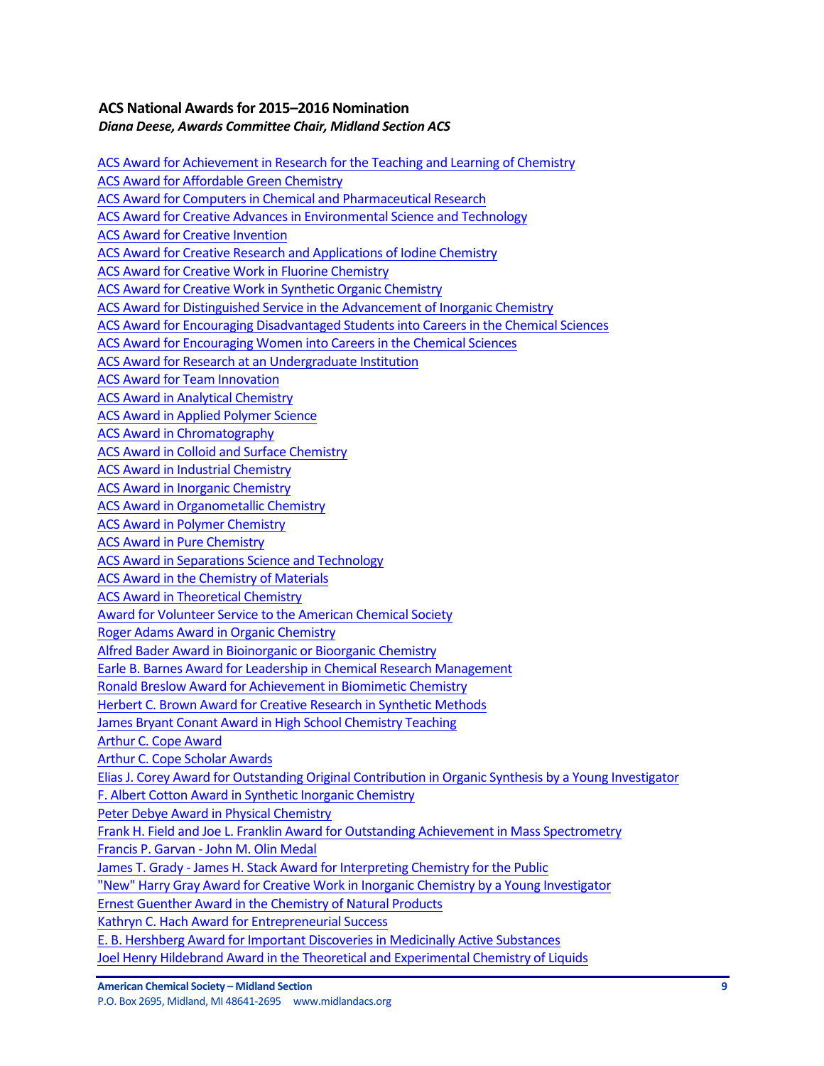# **ACS National Awardsfor 2015–2016 Nomination** *Diana Deese, Awards Committee Chair, Midland Section ACS*

ACS Award for Achievement in Research for the Teaching and Learning of Chemistry ACS Award for Affordable Green Chemistry ACS Award for Computers in Chemical and Pharmaceutical Research ACS Award for Creative Advances in Environmental Science and Technology **ACS Award for Creative Invention** ACS Award for Creative Research and Applications of Iodine Chemistry ACS Award for Creative Work in Fluorine Chemistry ACS Award for Creative Work in Synthetic Organic Chemistry ACS Award for Distinguished Service in the Advancement of Inorganic Chemistry ACS Award for Encouraging Disadvantaged Students into Careers in the Chemical Sciences ACS Award for Encouraging Women into Careers in the Chemical Sciences ACS Award for Research at an Undergraduate Institution ACS Award for Team Innovation **ACS Award in Analytical Chemistry** ACS Award in Applied Polymer Science ACS Award in Chromatography ACS Award in Colloid and Surface Chemistry ACS Award in Industrial Chemistry ACS Award in Inorganic Chemistry ACS Award in Organometallic Chemistry **ACS Award in Polymer Chemistry ACS Award in Pure Chemistry** ACS Award in Separations Science and Technology ACS Award in the Chemistry of Materials ACS Award in Theoretical Chemistry Award for Volunteer Service to the American Chemical Society Roger Adams Award in Organic Chemistry Alfred Bader Award in Bioinorganic or Bioorganic Chemistry Earle B. Barnes Award for Leadership in Chemical Research Management Ronald Breslow Award for Achievement in Biomimetic Chemistry Herbert C. Brown Award for Creative Research in Synthetic Methods James Bryant Conant Award in High School Chemistry Teaching Arthur C. Cope Award Arthur C. Cope Scholar Awards Elias J. Corey Award for Outstanding Original Contribution in Organic Synthesis by a Young Investigator F. Albert Cotton Award in Synthetic Inorganic Chemistry Peter Debye Award in Physical Chemistry Frank H. Field and Joe L. Franklin Award for Outstanding Achievement in Mass Spectrometry Francis P. Garvan - John M. Olin Medal James T. Grady - James H. Stack Award for Interpreting Chemistry for the Public "New" Harry Gray Award for Creative Work in Inorganic Chemistry by a Young Investigator Ernest Guenther Award in the Chemistry of Natural Products Kathryn C. Hach Award for Entrepreneurial Success E. B. Hershberg Award for Important Discoveries in Medicinally Active Substances Joel Henry Hildebrand Award in the Theoretical and Experimental Chemistry of Liquids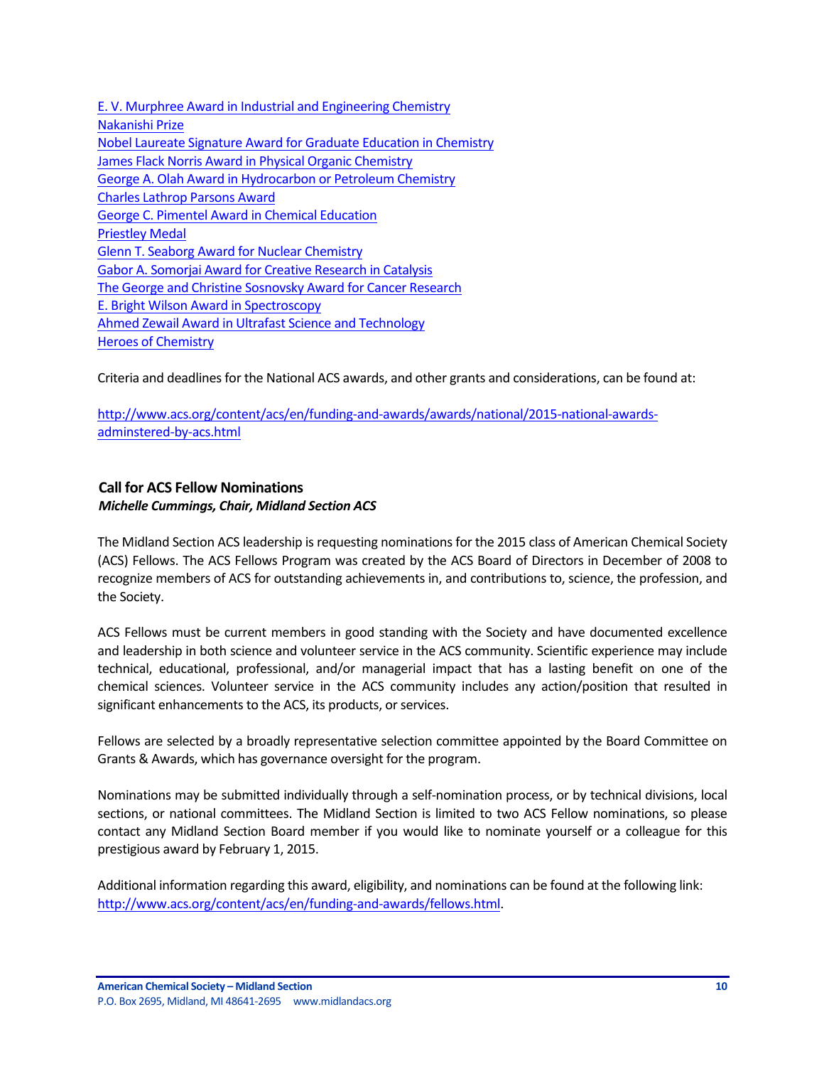E. V. Murphree Award in Industrial and Engineering Chemistry Nakanishi Prize Nobel Laureate Signature Award for Graduate Education in Chemistry James Flack Norris Award in Physical Organic Chemistry George A. Olah Award in Hydrocarbon or Petroleum Chemistry Charles Lathrop Parsons Award George C. Pimentel Award in Chemical Education Priestley Medal Glenn T. Seaborg Award for Nuclear Chemistry Gabor A. Somoriai Award for Creative Research in Catalysis The George and Christine Sosnovsky Award for Cancer Research E. Bright Wilson Award in Spectroscopy Ahmed Zewail Award in Ultrafast Science and Technology Heroes of Chemistry

Criteria and deadlines for the National ACS awards, and other grants and considerations, can be found at:

http://www.acs.org/content/acs/en/funding-and-awards/awards/national/2015-national-awardsadminstered-by-acs.html

## **Call for ACS Fellow Nominations** *Michelle Cummings, Chair, Midland Section ACS*

The Midland Section ACS leadership is requesting nominations for the 2015 class of American Chemical Society (ACS) Fellows. The ACS Fellows Program was created by the ACS Board of Directors in December of 2008 to recognize members of ACS for outstanding achievements in, and contributions to, science, the profession, and the Society.

ACS Fellows must be current members in good standing with the Society and have documented excellence and leadership in both science and volunteer service in the ACS community. Scientific experience may include technical, educational, professional, and/or managerial impact that has a lasting benefit on one of the chemical sciences. Volunteer service in the ACS community includes any action/position that resulted in significant enhancements to the ACS, its products, or services.

Fellows are selected by a broadly representative selection committee appointed by the Board Committee on Grants & Awards, which has governance oversight for the program.

Nominations may be submitted individually through a self-nomination process, or by technical divisions, local sections, or national committees. The Midland Section is limited to two ACS Fellow nominations, so please contact any Midland Section Board member if you would like to nominate yourself or a colleague for this prestigious award by February 1, 2015.

Additional information regarding this award, eligibility, and nominations can be found at the following link: http://www.acs.org/content/acs/en/funding-and-awards/fellows.html.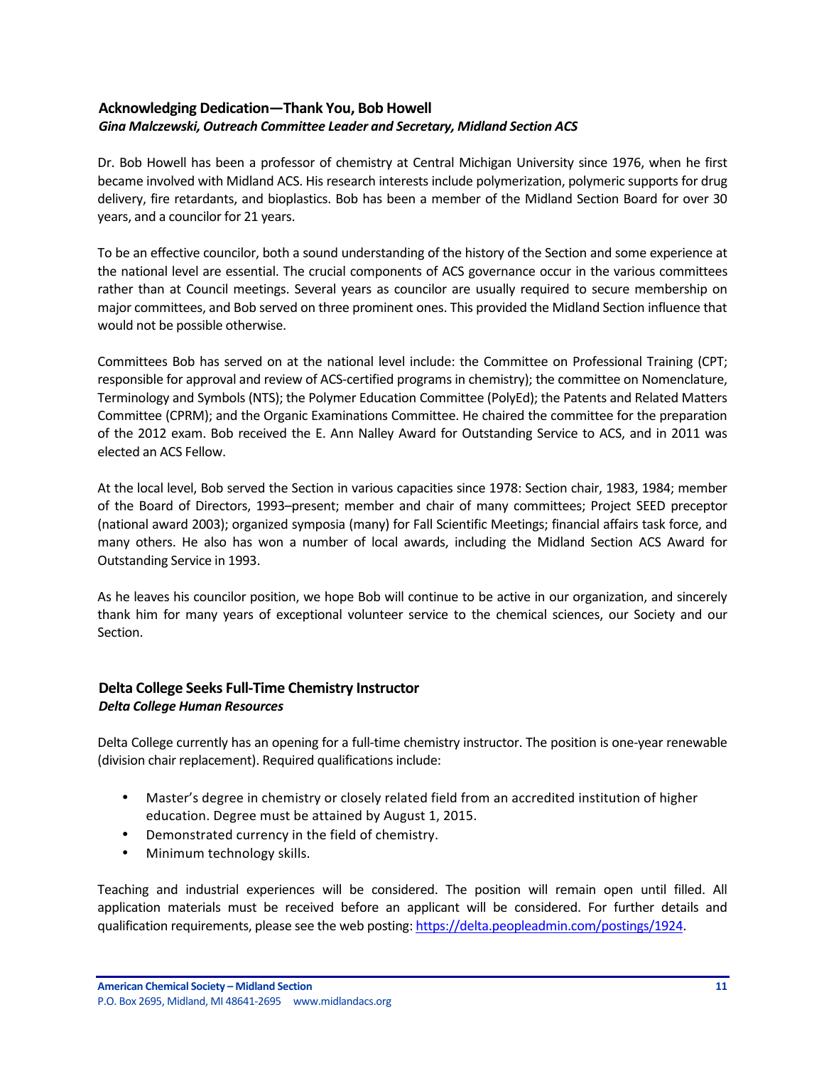# **Acknowledging Dedication—Thank You, Bob Howell** Gina Malczewski, Outreach Committee Leader and Secretary, Midland Section ACS

Dr. Bob Howell has been a professor of chemistry at Central Michigan University since 1976, when he first became involved with Midland ACS. His research interests include polymerization, polymeric supports for drug delivery, fire retardants, and bioplastics. Bob has been a member of the Midland Section Board for over 30 years, and a councilor for 21 years.

To be an effective councilor, both a sound understanding of the history of the Section and some experience at the national level are essential. The crucial components of ACS governance occur in the various committees rather than at Council meetings. Several years as councilor are usually required to secure membership on major committees, and Bob served on three prominent ones. This provided the Midland Section influence that would not be possible otherwise.

Committees Bob has served on at the national level include: the Committee on Professional Training (CPT; responsible for approval and review of ACS-certified programs in chemistry); the committee on Nomenclature, Terminology and Symbols (NTS); the Polymer Education Committee (PolyEd); the Patents and Related Matters Committee (CPRM); and the Organic Examinations Committee. He chaired the committee for the preparation of the 2012 exam. Bob received the E. Ann Nalley Award for Outstanding Service to ACS, and in 2011 was elected an ACS Fellow.

At the local level, Bob served the Section in various capacities since 1978: Section chair, 1983, 1984; member of the Board of Directors, 1993–present; member and chair of many committees; Project SEED preceptor (national award 2003); organized symposia (many) for Fall Scientific Meetings; financial affairs task force, and many others. He also has won a number of local awards, including the Midland Section ACS Award for Outstanding Service in 1993.

As he leaves his councilor position, we hope Bob will continue to be active in our organization, and sincerely thank him for many years of exceptional volunteer service to the chemical sciences, our Society and our Section.

## **Delta College Seeks Full-Time Chemistry Instructor** *Delta College Human Resources*

Delta College currently has an opening for a full-time chemistry instructor. The position is one-year renewable (division chair replacement). Required qualifications include:

- Master's degree in chemistry or closely related field from an accredited institution of higher education. Degree must be attained by August 1, 2015.
- Demonstrated currency in the field of chemistry.
- Minimum technology skills.

Teaching and industrial experiences will be considered. The position will remain open until filled. All application materials must be received before an applicant will be considered. For further details and qualification requirements, please see the web posting: https://delta.peopleadmin.com/postings/1924.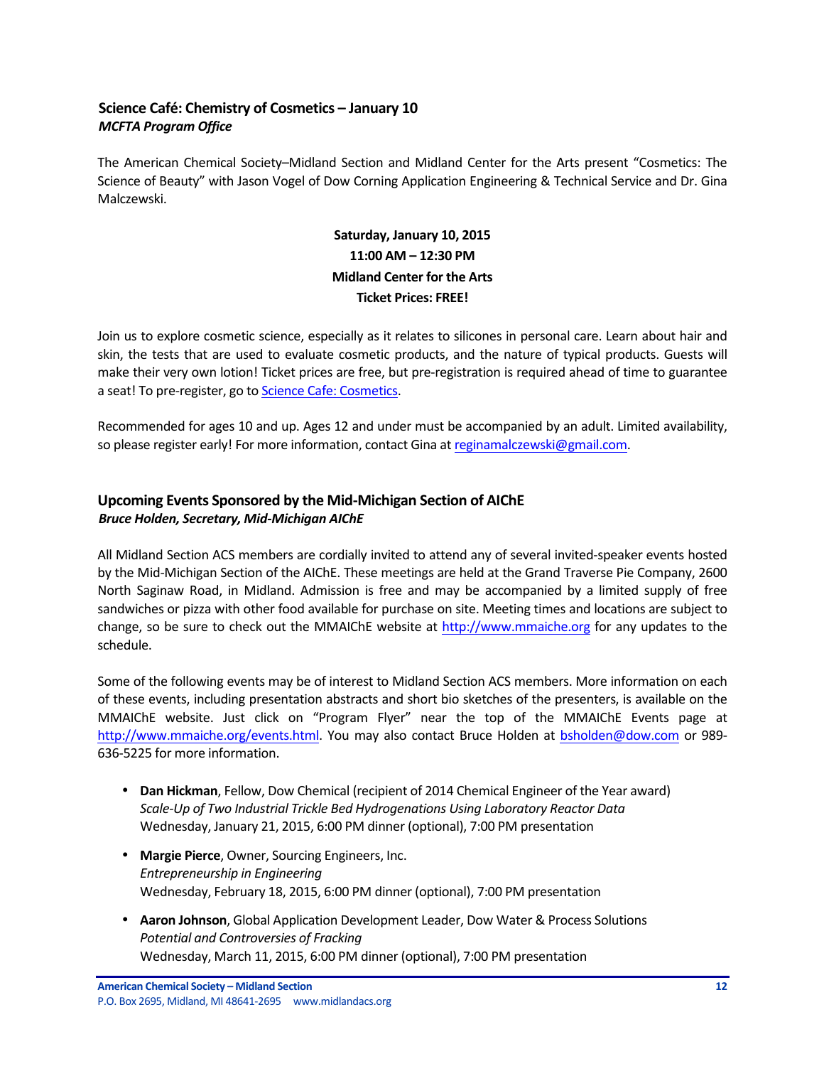# **Science Café: Chemistry of Cosmetics – January 10** *MCFTA Program Office*

The American Chemical Society–Midland Section and Midland Center for the Arts present "Cosmetics: The Science of Beauty" with Jason Vogel of Dow Corning Application Engineering & Technical Service and Dr. Gina Malczewski.

# Saturday, January 10, 2015 **11:00 AM – 12:30 PM Midland Center for the Arts Ticket Prices: FREE!**

Join us to explore cosmetic science, especially as it relates to silicones in personal care. Learn about hair and skin, the tests that are used to evaluate cosmetic products, and the nature of typical products. Guests will make their very own lotion! Ticket prices are free, but pre-registration is required ahead of time to guarantee a seat! To pre-register, go to Science Cafe: Cosmetics.

Recommended for ages 10 and up. Ages 12 and under must be accompanied by an adult. Limited availability, so please register early! For more information, contact Gina at reginamalczewski@gmail.com.

# **Upcoming Events Sponsored by the Mid-Michigan Section of AIChE** *Bruce Holden, Secretary, Mid-Michigan AIChE*

All Midland Section ACS members are cordially invited to attend any of several invited-speaker events hosted by the Mid-Michigan Section of the AIChE. These meetings are held at the Grand Traverse Pie Company, 2600 North Saginaw Road, in Midland. Admission is free and may be accompanied by a limited supply of free sandwiches or pizza with other food available for purchase on site. Meeting times and locations are subject to change, so be sure to check out the MMAIChE website at http://www.mmaiche.org for any updates to the schedule.

Some of the following events may be of interest to Midland Section ACS members. More information on each of these events, including presentation abstracts and short bio sketches of the presenters, is available on the MMAIChE website. Just click on "Program Flyer" near the top of the MMAIChE Events page at http://www.mmaiche.org/events.html. You may also contact Bruce Holden at bsholden@dow.com or 989-636-5225 for more information.

- Dan Hickman, Fellow, Dow Chemical (recipient of 2014 Chemical Engineer of the Year award) Scale-Up of Two Industrial Trickle Bed Hydrogenations Using Laboratory Reactor Data Wednesday, January 21, 2015, 6:00 PM dinner (optional), 7:00 PM presentation
- Margie Pierce, Owner, Sourcing Engineers, Inc. *Entrepreneurship in Engineering* Wednesday, February 18, 2015, 6:00 PM dinner (optional), 7:00 PM presentation
- **Aaron Johnson**, Global Application Development Leader, Dow Water & Process Solutions *Potential and Controversies of Fracking* Wednesday, March 11, 2015, 6:00 PM dinner (optional), 7:00 PM presentation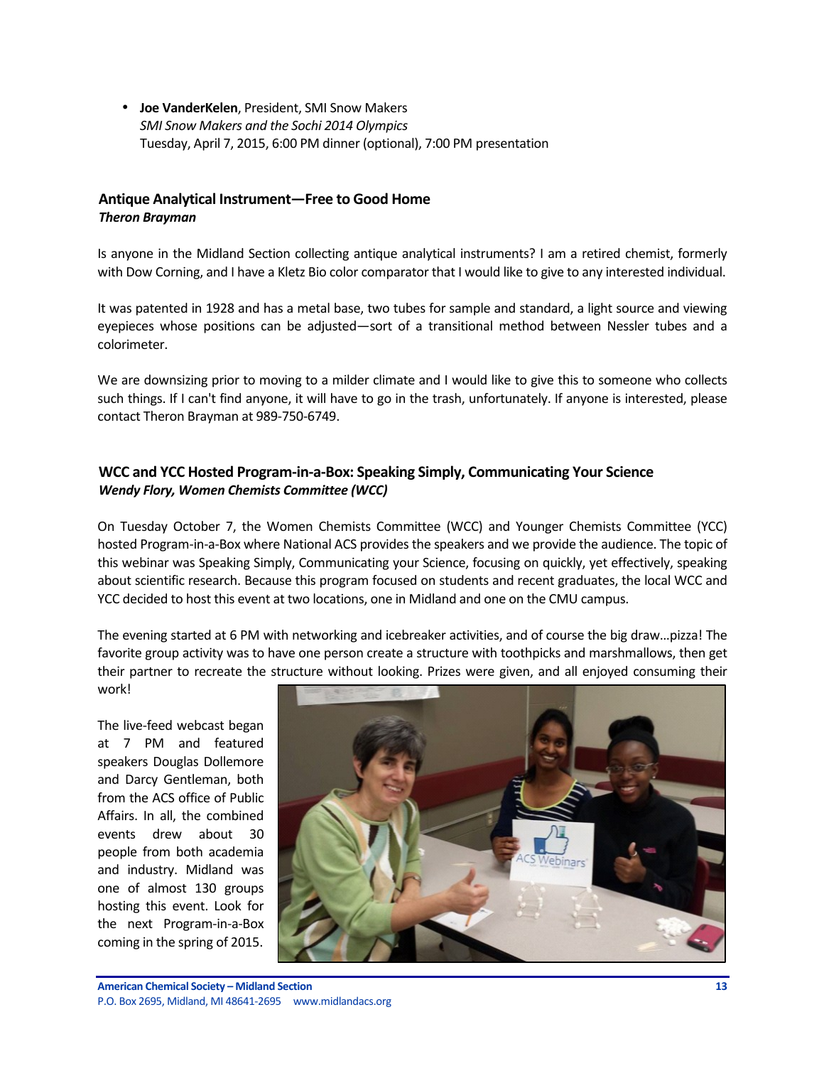• **Joe VanderKelen**, President, SMI Snow Makers SMI Snow Makers and the Sochi 2014 Olympics Tuesday, April 7, 2015, 6:00 PM dinner (optional), 7:00 PM presentation

## **Antique Analytical Instrument—Free to Good Home** *Theron Brayman*

Is anyone in the Midland Section collecting antique analytical instruments? I am a retired chemist, formerly with Dow Corning, and I have a Kletz Bio color comparator that I would like to give to any interested individual.

It was patented in 1928 and has a metal base, two tubes for sample and standard, a light source and viewing eyepieces whose positions can be adjusted—sort of a transitional method between Nessler tubes and a colorimeter.

We are downsizing prior to moving to a milder climate and I would like to give this to someone who collects such things. If I can't find anyone, it will have to go in the trash, unfortunately. If anyone is interested, please contact Theron Brayman at 989-750-6749.

# **WCC and YCC Hosted Program-in-a-Box: Speaking Simply, Communicating Your Science Wendy Flory, Women Chemists Committee (WCC)**

On Tuesday October 7, the Women Chemists Committee (WCC) and Younger Chemists Committee (YCC) hosted Program-in-a-Box where National ACS provides the speakers and we provide the audience. The topic of this webinar was Speaking Simply, Communicating your Science, focusing on quickly, yet effectively, speaking about scientific research. Because this program focused on students and recent graduates, the local WCC and YCC decided to host this event at two locations, one in Midland and one on the CMU campus.

The evening started at 6 PM with networking and icebreaker activities, and of course the big draw...pizza! The favorite group activity was to have one person create a structure with toothpicks and marshmallows, then get their partner to recreate the structure without looking. Prizes were given, and all enjoyed consuming their work!

The live-feed webcast began at 7 PM and featured speakers Douglas Dollemore and Darcy Gentleman, both from the ACS office of Public Affairs. In all, the combined events drew about 30 people from both academia and industry. Midland was one of almost 130 groups hosting this event. Look for the next Program-in-a-Box coming in the spring of 2015.

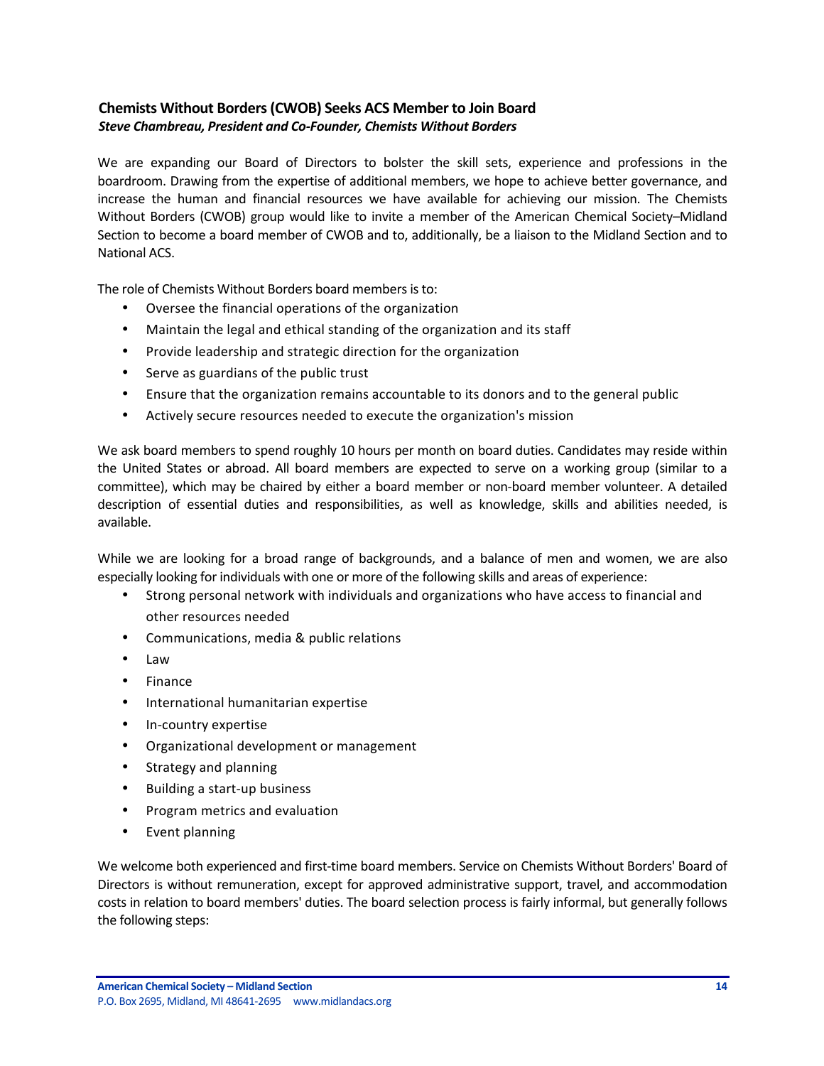# **Chemists Without Borders(CWOB) Seeks ACS Member to Join Board Steve Chambreau, President and Co-Founder, Chemists Without Borders**

We are expanding our Board of Directors to bolster the skill sets, experience and professions in the boardroom. Drawing from the expertise of additional members, we hope to achieve better governance, and increase the human and financial resources we have available for achieving our mission. The Chemists Without Borders (CWOB) group would like to invite a member of the American Chemical Society–Midland Section to become a board member of CWOB and to, additionally, be a liaison to the Midland Section and to **National ACS.** 

The role of Chemists Without Borders board members is to:

- Oversee the financial operations of the organization
- Maintain the legal and ethical standing of the organization and its staff
- Provide leadership and strategic direction for the organization
- Serve as guardians of the public trust
- Ensure that the organization remains accountable to its donors and to the general public
- Actively secure resources needed to execute the organization's mission

We ask board members to spend roughly 10 hours per month on board duties. Candidates may reside within the United States or abroad. All board members are expected to serve on a working group (similar to a committee), which may be chaired by either a board member or non-board member volunteer. A detailed description of essential duties and responsibilities, as well as knowledge, skills and abilities needed, is available.

While we are looking for a broad range of backgrounds, and a balance of men and women, we are also especially looking for individuals with one or more of the following skills and areas of experience:

- Strong personal network with individuals and organizations who have access to financial and other resources needed
- Communications, media & public relations
- Law
- Finance
- International humanitarian expertise
- In-country expertise
- Organizational development or management
- Strategy and planning
- Building a start-up business
- Program metrics and evaluation
- Event planning

We welcome both experienced and first-time board members. Service on Chemists Without Borders' Board of Directors is without remuneration, except for approved administrative support, travel, and accommodation costs in relation to board members' duties. The board selection process is fairly informal, but generally follows the following steps: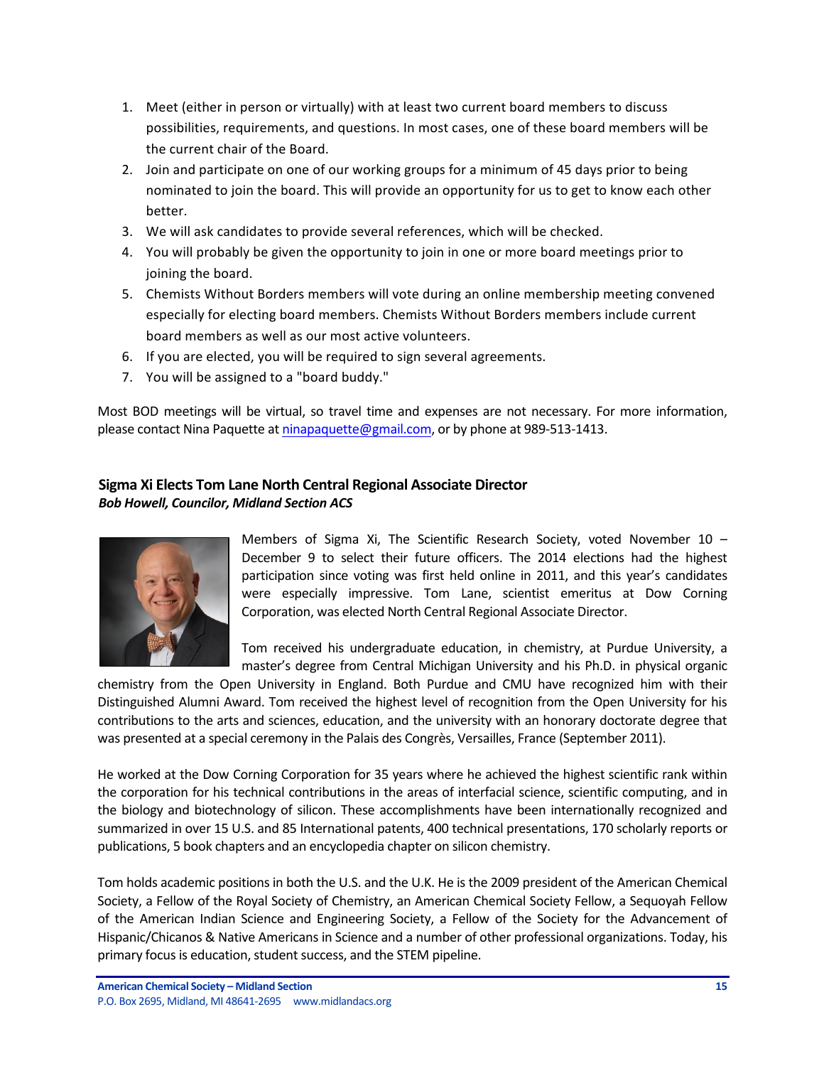- 1. Meet (either in person or virtually) with at least two current board members to discuss possibilities, requirements, and questions. In most cases, one of these board members will be the current chair of the Board.
- 2. Join and participate on one of our working groups for a minimum of 45 days prior to being nominated to join the board. This will provide an opportunity for us to get to know each other better.
- 3. We will ask candidates to provide several references, which will be checked.
- 4. You will probably be given the opportunity to join in one or more board meetings prior to joining the board.
- 5. Chemists Without Borders members will vote during an online membership meeting convened especially for electing board members. Chemists Without Borders members include current board members as well as our most active volunteers.
- 6. If you are elected, you will be required to sign several agreements.
- 7. You will be assigned to a "board buddy."

Most BOD meetings will be virtual, so travel time and expenses are not necessary. For more information, please contact Nina Paquette at ninapaquette@gmail.com, or by phone at 989-513-1413.

# **Sigma Xi Elects Tom Lane North Central Regional Associate Director** *Bob Howell, Councilor, Midland Section ACS*



Members of Sigma Xi, The Scientific Research Society, voted November  $10 -$ December 9 to select their future officers. The 2014 elections had the highest participation since voting was first held online in 2011, and this year's candidates were especially impressive. Tom Lane, scientist emeritus at Dow Corning Corporation, was elected North Central Regional Associate Director.

Tom received his undergraduate education, in chemistry, at Purdue University, a master's degree from Central Michigan University and his Ph.D. in physical organic

chemistry from the Open University in England. Both Purdue and CMU have recognized him with their Distinguished Alumni Award. Tom received the highest level of recognition from the Open University for his contributions to the arts and sciences, education, and the university with an honorary doctorate degree that was presented at a special ceremony in the Palais des Congrès, Versailles, France (September 2011).

He worked at the Dow Corning Corporation for 35 years where he achieved the highest scientific rank within the corporation for his technical contributions in the areas of interfacial science, scientific computing, and in the biology and biotechnology of silicon. These accomplishments have been internationally recognized and summarized in over 15 U.S. and 85 International patents, 400 technical presentations, 170 scholarly reports or publications, 5 book chapters and an encyclopedia chapter on silicon chemistry.

Tom holds academic positions in both the U.S. and the U.K. He is the 2009 president of the American Chemical Society, a Fellow of the Royal Society of Chemistry, an American Chemical Society Fellow, a Sequoyah Fellow of the American Indian Science and Engineering Society, a Fellow of the Society for the Advancement of Hispanic/Chicanos & Native Americans in Science and a number of other professional organizations. Today, his primary focus is education, student success, and the STEM pipeline.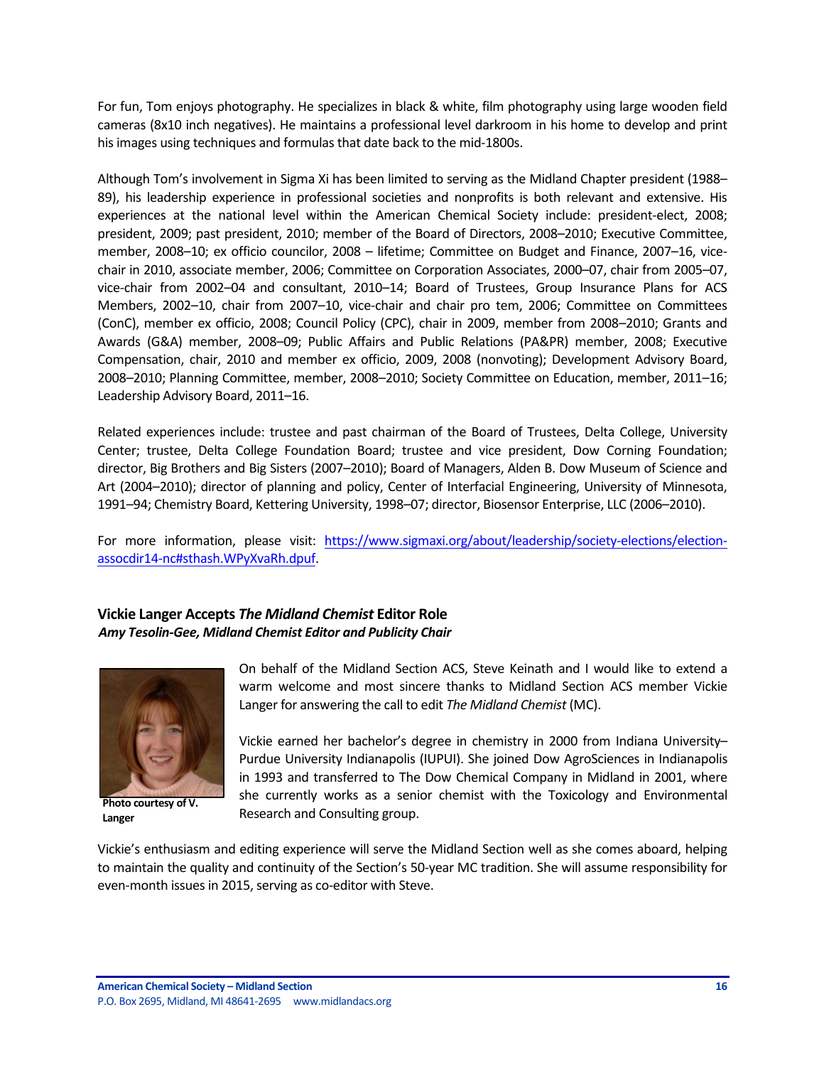For fun, Tom enjoys photography. He specializes in black & white, film photography using large wooden field cameras (8x10 inch negatives). He maintains a professional level darkroom in his home to develop and print his images using techniques and formulas that date back to the mid-1800s.

Although Tom's involvement in Sigma Xi has been limited to serving as the Midland Chapter president (1988– 89), his leadership experience in professional societies and nonprofits is both relevant and extensive. His experiences at the national level within the American Chemical Society include: president-elect, 2008; president, 2009; past president, 2010; member of the Board of Directors, 2008–2010; Executive Committee, member, 2008–10; ex officio councilor, 2008 – lifetime; Committee on Budget and Finance, 2007–16, vicechair in 2010, associate member, 2006; Committee on Corporation Associates, 2000–07, chair from 2005–07, vice-chair from 2002-04 and consultant, 2010-14; Board of Trustees, Group Insurance Plans for ACS Members, 2002–10, chair from 2007–10, vice-chair and chair pro tem, 2006; Committee on Committees (ConC), member ex officio, 2008; Council Policy (CPC), chair in 2009, member from 2008–2010; Grants and Awards (G&A) member, 2008–09; Public Affairs and Public Relations (PA&PR) member, 2008; Executive Compensation, chair, 2010 and member ex officio, 2009, 2008 (nonvoting); Development Advisory Board, 2008–2010; Planning Committee, member, 2008–2010; Society Committee on Education, member, 2011–16; Leadership Advisory Board, 2011-16.

Related experiences include: trustee and past chairman of the Board of Trustees, Delta College, University Center; trustee, Delta College Foundation Board; trustee and vice president, Dow Corning Foundation; director, Big Brothers and Big Sisters (2007–2010); Board of Managers, Alden B. Dow Museum of Science and Art (2004–2010); director of planning and policy, Center of Interfacial Engineering, University of Minnesota, 1991–94; Chemistry Board, Kettering University, 1998–07; director, Biosensor Enterprise, LLC (2006–2010).

For more information, please visit: https://www.sigmaxi.org/about/leadership/society-elections/electionassocdir14-nc#sthash.WPyXvaRh.dpuf.

## **Vickie Langer Accepts** *The Midland Chemist* **Editor Role** *Amy Tesolin-Gee, Midland Chemist Editor and Publicity Chair*



Photo courtesy of V. **Langer**

On behalf of the Midland Section ACS, Steve Keinath and I would like to extend a warm welcome and most sincere thanks to Midland Section ACS member Vickie Langer for answering the call to edit *The Midland Chemist* (MC).

Vickie earned her bachelor's degree in chemistry in 2000 from Indiana University– Purdue University Indianapolis (IUPUI). She joined Dow AgroSciences in Indianapolis in 1993 and transferred to The Dow Chemical Company in Midland in 2001, where she currently works as a senior chemist with the Toxicology and Environmental Research and Consulting group.

Vickie's enthusiasm and editing experience will serve the Midland Section well as she comes aboard, helping to maintain the quality and continuity of the Section's 50-year MC tradition. She will assume responsibility for even-month issues in 2015, serving as co-editor with Steve.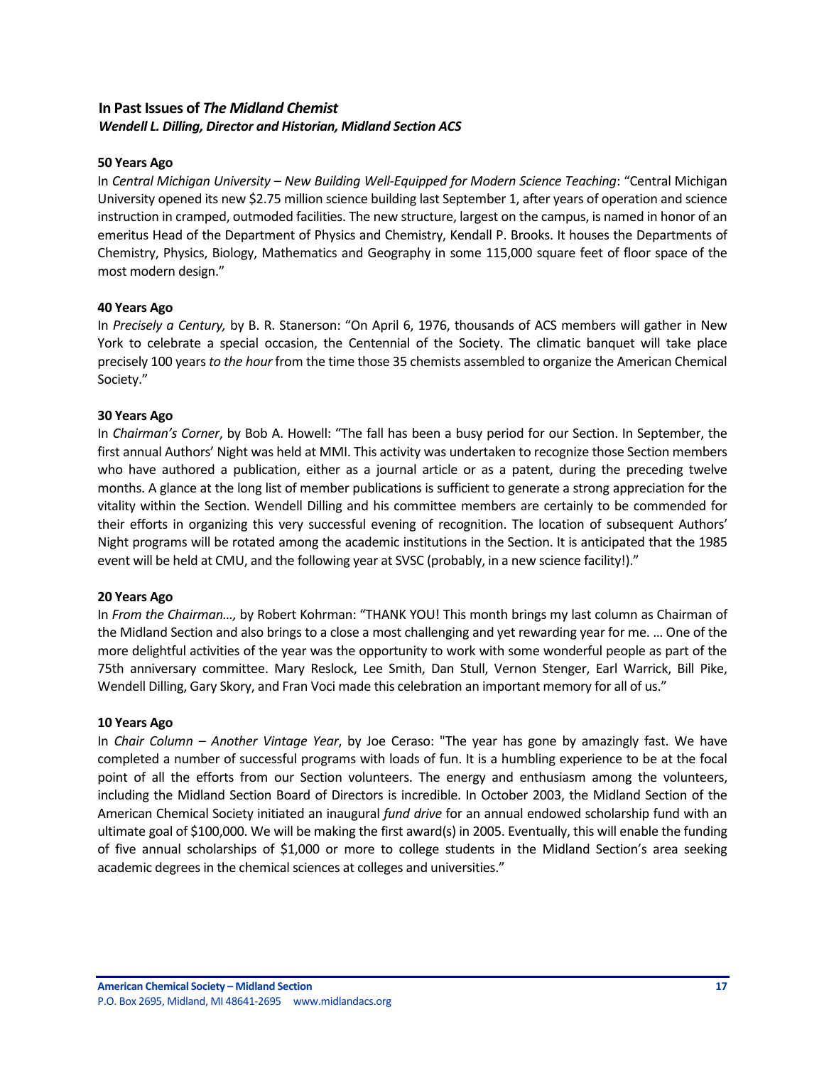# **In Past Issues of** *The Midland Chemist Wendell L. Dilling, Director and Historian, Midland Section ACS*

### **50 Years Ago**

In *Central Michigan University* – New Building Well-Equipped for Modern Science Teaching: "Central Michigan University opened its new \$2.75 million science building last September 1, after years of operation and science instruction in cramped, outmoded facilities. The new structure, largest on the campus, is named in honor of an emeritus Head of the Department of Physics and Chemistry, Kendall P. Brooks. It houses the Departments of Chemistry, Physics, Biology, Mathematics and Geography in some 115,000 square feet of floor space of the most modern design."

#### **40 Years Ago**

In *Precisely a Century,* by B. R. Stanerson: "On April 6, 1976, thousands of ACS members will gather in New York to celebrate a special occasion, the Centennial of the Society. The climatic banquet will take place precisely 100 years to the hour from the time those 35 chemists assembled to organize the American Chemical Society."

## **30 Years Ago**

In *Chairman's Corner*, by Bob A. Howell: "The fall has been a busy period for our Section. In September, the first annual Authors' Night was held at MMI. This activity was undertaken to recognize those Section members who have authored a publication, either as a journal article or as a patent, during the preceding twelve months. A glance at the long list of member publications is sufficient to generate a strong appreciation for the vitality within the Section. Wendell Dilling and his committee members are certainly to be commended for their efforts in organizing this very successful evening of recognition. The location of subsequent Authors' Night programs will be rotated among the academic institutions in the Section. It is anticipated that the 1985 event will be held at CMU, and the following year at SVSC (probably, in a new science facility!)."

#### **20 Years Ago**

In *From the Chairman...*, by Robert Kohrman: "THANK YOU! This month brings my last column as Chairman of the Midland Section and also brings to a close a most challenging and yet rewarding year for me. ... One of the more delightful activities of the year was the opportunity to work with some wonderful people as part of the 75th anniversary committee. Mary Reslock, Lee Smith, Dan Stull, Vernon Stenger, Earl Warrick, Bill Pike, Wendell Dilling, Gary Skory, and Fran Voci made this celebration an important memory for all of us."

#### **10 Years Ago**

In *Chair Column* – *Another Vintage Year*, by Joe Ceraso: "The year has gone by amazingly fast. We have completed a number of successful programs with loads of fun. It is a humbling experience to be at the focal point of all the efforts from our Section volunteers. The energy and enthusiasm among the volunteers, including the Midland Section Board of Directors is incredible. In October 2003, the Midland Section of the American Chemical Society initiated an inaugural *fund drive* for an annual endowed scholarship fund with an ultimate goal of \$100,000. We will be making the first award(s) in 2005. Eventually, this will enable the funding of five annual scholarships of \$1,000 or more to college students in the Midland Section's area seeking academic degrees in the chemical sciences at colleges and universities."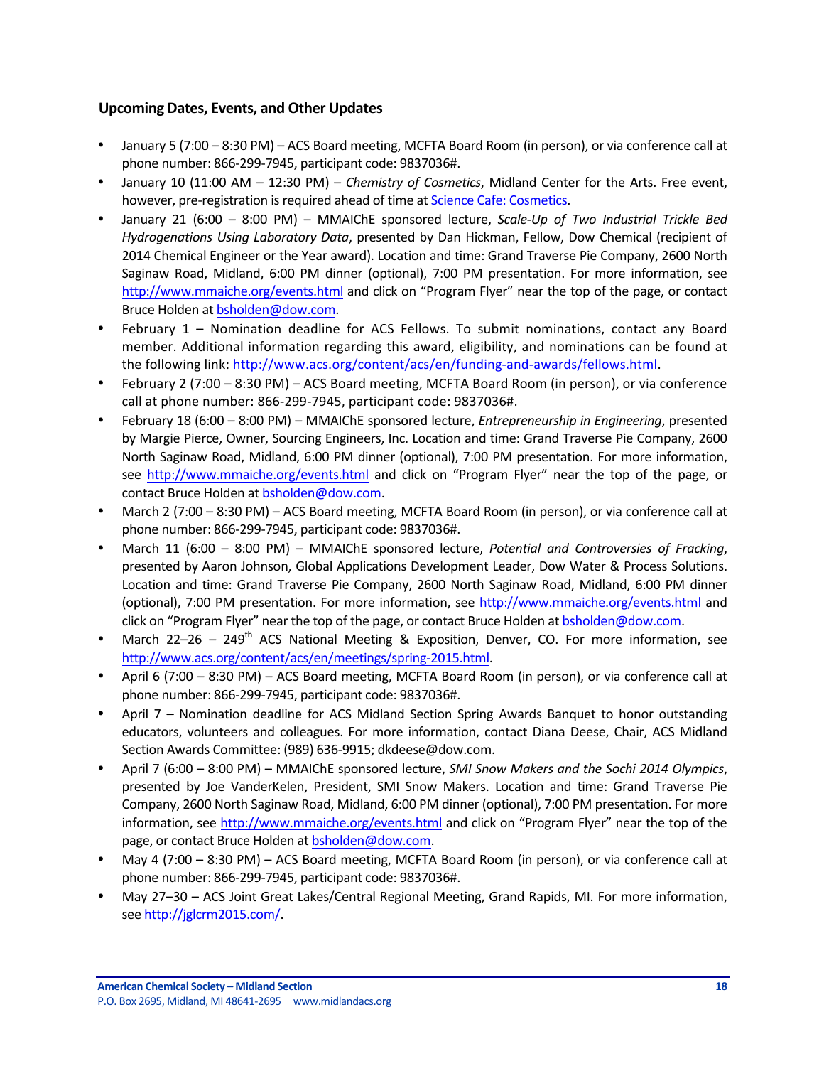# **Upcoming Dates, Events, and Other Updates**

- January 5 (7:00 8:30 PM) ACS Board meeting, MCFTA Board Room (in person), or via conference call at phone number: 866-299-7945, participant code: 9837036#.
- January 10 (11:00 AM 12:30 PM) *Chemistry of Cosmetics*, Midland Center for the Arts. Free event, however, pre-registration is required ahead of time at Science Cafe: Cosmetics.
- January 21 (6:00 8:00 PM) MMAIChE sponsored lecture, *Scale-Up of Two Industrial Trickle Bed Hydrogenations Using Laboratory Data*, presented by Dan Hickman, Fellow, Dow Chemical (recipient of 2014 Chemical Engineer or the Year award). Location and time: Grand Traverse Pie Company, 2600 North Saginaw Road, Midland, 6:00 PM dinner (optional), 7:00 PM presentation. For more information, see http://www.mmaiche.org/events.html and click on "Program Flyer" near the top of the page, or contact Bruce Holden at bsholden@dow.com.
- February 1 Nomination deadline for ACS Fellows. To submit nominations, contact any Board member. Additional information regarding this award, eligibility, and nominations can be found at the following link: http://www.acs.org/content/acs/en/funding-and-awards/fellows.html.
- February 2 (7:00 8:30 PM) ACS Board meeting, MCFTA Board Room (in person), or via conference call at phone number: 866-299-7945, participant code: 9837036#.
- February 18 (6:00 8:00 PM) MMAIChE sponsored lecture, *Entrepreneurship in Engineering*, presented by Margie Pierce, Owner, Sourcing Engineers, Inc. Location and time: Grand Traverse Pie Company, 2600 North Saginaw Road, Midland, 6:00 PM dinner (optional), 7:00 PM presentation. For more information, see http://www.mmaiche.org/events.html and click on "Program Flyer" near the top of the page, or contact Bruce Holden at bsholden@dow.com.
- March 2 (7:00 8:30 PM) ACS Board meeting, MCFTA Board Room (in person), or via conference call at phone number: 866-299-7945, participant code: 9837036#.
- March 11 (6:00 8:00 PM) MMAIChE sponsored lecture, *Potential and Controversies of Fracking*, presented by Aaron Johnson, Global Applications Development Leader, Dow Water & Process Solutions. Location and time: Grand Traverse Pie Company, 2600 North Saginaw Road, Midland, 6:00 PM dinner (optional), 7:00 PM presentation. For more information, see http://www.mmaiche.org/events.html and click on "Program Flyer" near the top of the page, or contact Bruce Holden at bsholden@dow.com.
- March 22–26 249<sup>th</sup> ACS National Meeting & Exposition, Denver, CO. For more information, see http://www.acs.org/content/acs/en/meetings/spring-2015.html.
- April 6 (7:00 8:30 PM) ACS Board meeting, MCFTA Board Room (in person), or via conference call at phone number: 866-299-7945, participant code: 9837036#.
- April 7 Nomination deadline for ACS Midland Section Spring Awards Banquet to honor outstanding educators, volunteers and colleagues. For more information, contact Diana Deese, Chair, ACS Midland Section Awards Committee: (989) 636-9915; dkdeese@dow.com.
- April 7 (6:00 8:00 PM) MMAIChE sponsored lecture, *SMI Snow Makers and the Sochi 2014 Olympics*, presented by Joe VanderKelen, President, SMI Snow Makers. Location and time: Grand Traverse Pie Company, 2600 North Saginaw Road, Midland, 6:00 PM dinner (optional), 7:00 PM presentation. For more information, see http://www.mmaiche.org/events.html and click on "Program Flyer" near the top of the page, or contact Bruce Holden at bsholden@dow.com.
- May 4 (7:00 8:30 PM) ACS Board meeting, MCFTA Board Room (in person), or via conference call at phone number: 866-299-7945, participant code: 9837036#.
- May 27-30 ACS Joint Great Lakes/Central Regional Meeting, Grand Rapids, MI. For more information, see http://jglcrm2015.com/.